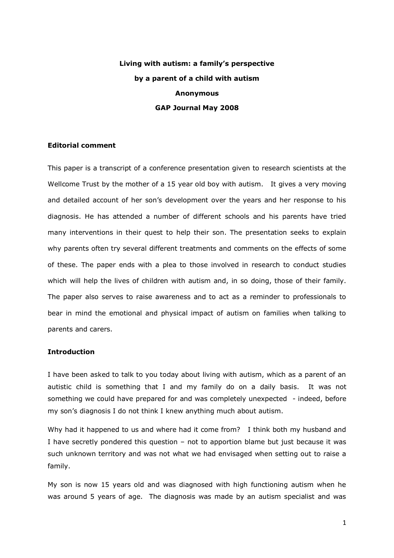# **Living with autism: a family's perspective by a parent of a child with autism Anonymous GAP Journal May 2008**

# **Editorial comment**

This paper is a transcript of a conference presentation given to research scientists at the Wellcome Trust by the mother of a 15 year old boy with autism. It gives a very moving and detailed account of her son's development over the years and her response to his diagnosis. He has attended a number of different schools and his parents have tried many interventions in their quest to help their son. The presentation seeks to explain why parents often try several different treatments and comments on the effects of some of these. The paper ends with a plea to those involved in research to conduct studies which will help the lives of children with autism and, in so doing, those of their family. The paper also serves to raise awareness and to act as a reminder to professionals to bear in mind the emotional and physical impact of autism on families when talking to parents and carers.

## **Introduction**

I have been asked to talk to you today about living with autism, which as a parent of an autistic child is something that I and my family do on a daily basis. It was not something we could have prepared for and was completely unexpected - indeed, before my son's diagnosis I do not think I knew anything much about autism.

Why had it happened to us and where had it come from? I think both my husband and I have secretly pondered this question – not to apportion blame but just because it was such unknown territory and was not what we had envisaged when setting out to raise a family.

My son is now 15 years old and was diagnosed with high functioning autism when he was around 5 years of age. The diagnosis was made by an autism specialist and was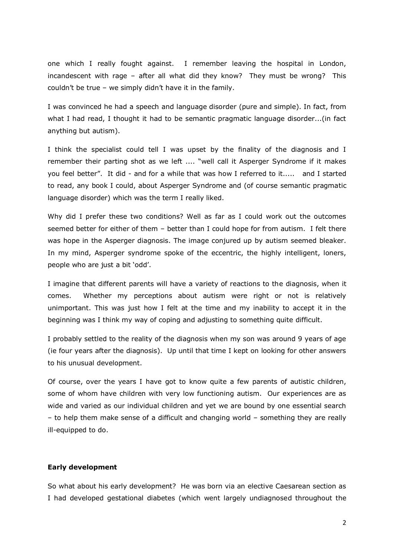one which I really fought against. I remember leaving the hospital in London, incandescent with rage – after all what did they know? They must be wrong? This couldn't be true – we simply didn't have it in the family.

I was convinced he had a speech and language disorder (pure and simple). In fact, from what I had read, I thought it had to be semantic pragmatic language disorder...(in fact anything but autism).

I think the specialist could tell I was upset by the finality of the diagnosis and I remember their parting shot as we left .... "well call it Asperger Syndrome if it makes you feel better". It did - and for a while that was how I referred to it..... and I started to read, any book I could, about Asperger Syndrome and (of course semantic pragmatic language disorder) which was the term I really liked.

Why did I prefer these two conditions? Well as far as I could work out the outcomes seemed better for either of them – better than I could hope for from autism. I felt there was hope in the Asperger diagnosis. The image conjured up by autism seemed bleaker. In my mind, Asperger syndrome spoke of the eccentric, the highly intelligent, loners, people who are just a bit 'odd'.

I imagine that different parents will have a variety of reactions to the diagnosis, when it comes. Whether my perceptions about autism were right or not is relatively unimportant. This was just how I felt at the time and my inability to accept it in the beginning was I think my way of coping and adjusting to something quite difficult.

I probably settled to the reality of the diagnosis when my son was around 9 years of age (ie four years after the diagnosis). Up until that time I kept on looking for other answers to his unusual development.

Of course, over the years I have got to know quite a few parents of autistic children, some of whom have children with very low functioning autism. Our experiences are as wide and varied as our individual children and yet we are bound by one essential search – to help them make sense of a difficult and changing world – something they are really ill-equipped to do.

## **Early development**

So what about his early development? He was born via an elective Caesarean section as I had developed gestational diabetes (which went largely undiagnosed throughout the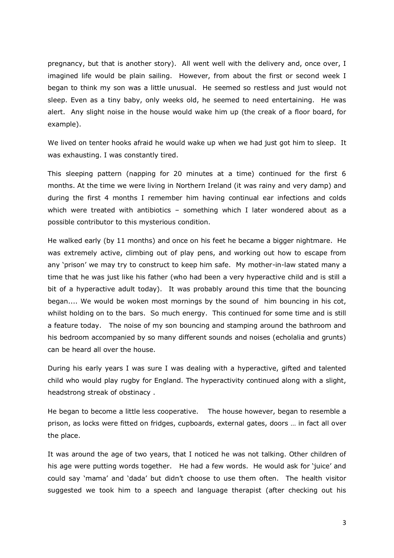pregnancy, but that is another story). All went well with the delivery and, once over, I imagined life would be plain sailing. However, from about the first or second week I began to think my son was a little unusual. He seemed so restless and just would not sleep. Even as a tiny baby, only weeks old, he seemed to need entertaining. He was alert. Any slight noise in the house would wake him up (the creak of a floor board, for example).

We lived on tenter hooks afraid he would wake up when we had just got him to sleep. It was exhausting. I was constantly tired.

This sleeping pattern (napping for 20 minutes at a time) continued for the first 6 months. At the time we were living in Northern Ireland (it was rainy and very damp) and during the first 4 months I remember him having continual ear infections and colds which were treated with antibiotics – something which I later wondered about as a possible contributor to this mysterious condition.

He walked early (by 11 months) and once on his feet he became a bigger nightmare. He was extremely active, climbing out of play pens, and working out how to escape from any 'prison' we may try to construct to keep him safe. My mother-in-law stated many a time that he was just like his father (who had been a very hyperactive child and is still a bit of a hyperactive adult today). It was probably around this time that the bouncing began.... We would be woken most mornings by the sound of him bouncing in his cot, whilst holding on to the bars. So much energy. This continued for some time and is still a feature today. The noise of my son bouncing and stamping around the bathroom and his bedroom accompanied by so many different sounds and noises (echolalia and grunts) can be heard all over the house.

During his early years I was sure I was dealing with a hyperactive, gifted and talented child who would play rugby for England. The hyperactivity continued along with a slight, headstrong streak of obstinacy .

He began to become a little less cooperative. The house however, began to resemble a prison, as locks were fitted on fridges, cupboards, external gates, doors … in fact all over the place.

It was around the age of two years, that I noticed he was not talking. Other children of his age were putting words together. He had a few words. He would ask for 'juice' and could say 'mama' and 'dada' but didn't choose to use them often. The health visitor suggested we took him to a speech and language therapist (after checking out his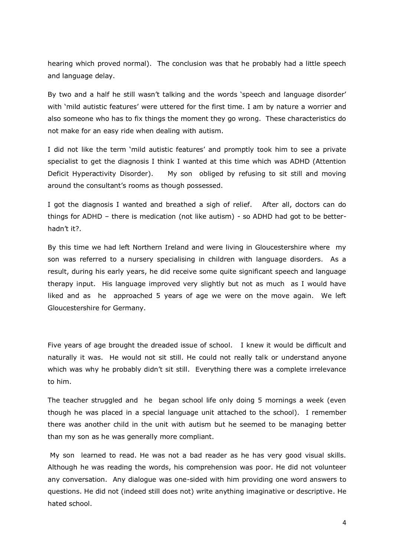hearing which proved normal). The conclusion was that he probably had a little speech and language delay.

By two and a half he still wasn't talking and the words 'speech and language disorder' with 'mild autistic features' were uttered for the first time. I am by nature a worrier and also someone who has to fix things the moment they go wrong. These characteristics do not make for an easy ride when dealing with autism.

I did not like the term 'mild autistic features' and promptly took him to see a private specialist to get the diagnosis I think I wanted at this time which was ADHD (Attention Deficit Hyperactivity Disorder). My son obliged by refusing to sit still and moving around the consultant's rooms as though possessed.

I got the diagnosis I wanted and breathed a sigh of relief. After all, doctors can do things for ADHD – there is medication (not like autism) - so ADHD had got to be betterhadn't it?.

By this time we had left Northern Ireland and were living in Gloucestershire where my son was referred to a nursery specialising in children with language disorders. As a result, during his early years, he did receive some quite significant speech and language therapy input. His language improved very slightly but not as much as I would have liked and as he approached 5 years of age we were on the move again. We left Gloucestershire for Germany.

Five years of age brought the dreaded issue of school. I knew it would be difficult and naturally it was. He would not sit still. He could not really talk or understand anyone which was why he probably didn't sit still. Everything there was a complete irrelevance to him.

The teacher struggled and he began school life only doing 5 mornings a week (even though he was placed in a special language unit attached to the school). I remember there was another child in the unit with autism but he seemed to be managing better than my son as he was generally more compliant.

My son learned to read. He was not a bad reader as he has very good visual skills. Although he was reading the words, his comprehension was poor. He did not volunteer any conversation. Any dialogue was one-sided with him providing one word answers to questions. He did not (indeed still does not) write anything imaginative or descriptive. He hated school.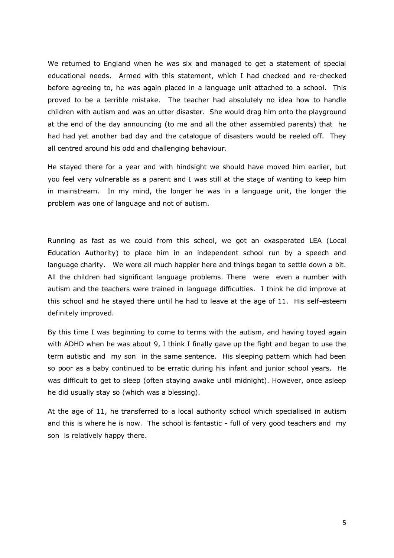We returned to England when he was six and managed to get a statement of special educational needs. Armed with this statement, which I had checked and re-checked before agreeing to, he was again placed in a language unit attached to a school. This proved to be a terrible mistake. The teacher had absolutely no idea how to handle children with autism and was an utter disaster. She would drag him onto the playground at the end of the day announcing (to me and all the other assembled parents) that he had had yet another bad day and the catalogue of disasters would be reeled off. They all centred around his odd and challenging behaviour.

He stayed there for a year and with hindsight we should have moved him earlier, but you feel very vulnerable as a parent and I was still at the stage of wanting to keep him in mainstream. In my mind, the longer he was in a language unit, the longer the problem was one of language and not of autism.

Running as fast as we could from this school, we got an exasperated LEA (Local Education Authority) to place him in an independent school run by a speech and language charity. We were all much happier here and things began to settle down a bit. All the children had significant language problems. There were even a number with autism and the teachers were trained in language difficulties. I think he did improve at this school and he stayed there until he had to leave at the age of 11. His self-esteem definitely improved.

By this time I was beginning to come to terms with the autism, and having toyed again with ADHD when he was about 9, I think I finally gave up the fight and began to use the term autistic and my son in the same sentence. His sleeping pattern which had been so poor as a baby continued to be erratic during his infant and junior school years. He was difficult to get to sleep (often staying awake until midnight). However, once asleep he did usually stay so (which was a blessing).

At the age of 11, he transferred to a local authority school which specialised in autism and this is where he is now. The school is fantastic - full of very good teachers and my son is relatively happy there.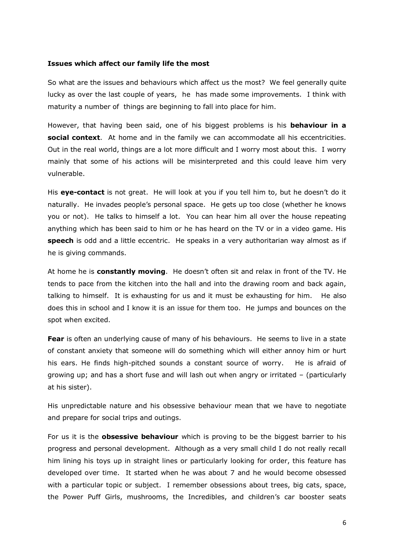## **Issues which affect our family life the most**

So what are the issues and behaviours which affect us the most? We feel generally quite lucky as over the last couple of years, he has made some improvements. I think with maturity a number of things are beginning to fall into place for him.

However, that having been said, one of his biggest problems is his **behaviour in a social context**. At home and in the family we can accommodate all his eccentricities. Out in the real world, things are a lot more difficult and I worry most about this. I worry mainly that some of his actions will be misinterpreted and this could leave him very vulnerable.

His **eye-contact** is not great. He will look at you if you tell him to, but he doesn't do it naturally. He invades people's personal space. He gets up too close (whether he knows you or not). He talks to himself a lot. You can hear him all over the house repeating anything which has been said to him or he has heard on the TV or in a video game. His **speech** is odd and a little eccentric. He speaks in a very authoritarian way almost as if he is giving commands.

At home he is **constantly moving**. He doesn't often sit and relax in front of the TV. He tends to pace from the kitchen into the hall and into the drawing room and back again, talking to himself. It is exhausting for us and it must be exhausting for him. He also does this in school and I know it is an issue for them too. He jumps and bounces on the spot when excited.

**Fear** is often an underlying cause of many of his behaviours. He seems to live in a state of constant anxiety that someone will do something which will either annoy him or hurt his ears. He finds high-pitched sounds a constant source of worry. He is afraid of growing up; and has a short fuse and will lash out when angry or irritated – (particularly at his sister).

His unpredictable nature and his obsessive behaviour mean that we have to negotiate and prepare for social trips and outings.

For us it is the **obsessive behaviour** which is proving to be the biggest barrier to his progress and personal development. Although as a very small child I do not really recall him lining his toys up in straight lines or particularly looking for order, this feature has developed over time. It started when he was about 7 and he would become obsessed with a particular topic or subject. I remember obsessions about trees, big cats, space, the Power Puff Girls, mushrooms, the Incredibles, and children's car booster seats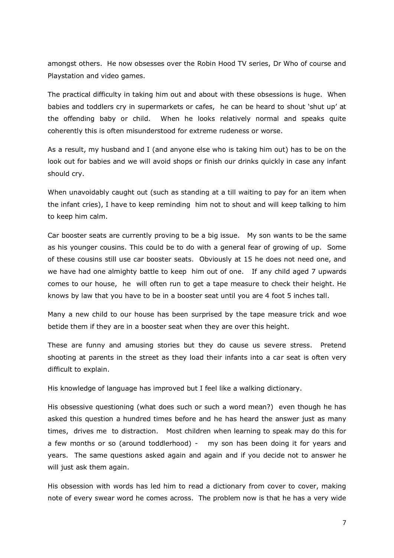amongst others. He now obsesses over the Robin Hood TV series, Dr Who of course and Playstation and video games.

The practical difficulty in taking him out and about with these obsessions is huge. When babies and toddlers cry in supermarkets or cafes, he can be heard to shout 'shut up' at the offending baby or child. When he looks relatively normal and speaks quite coherently this is often misunderstood for extreme rudeness or worse.

As a result, my husband and I (and anyone else who is taking him out) has to be on the look out for babies and we will avoid shops or finish our drinks quickly in case any infant should cry.

When unavoidably caught out (such as standing at a till waiting to pay for an item when the infant cries), I have to keep reminding him not to shout and will keep talking to him to keep him calm.

Car booster seats are currently proving to be a big issue. My son wants to be the same as his younger cousins. This could be to do with a general fear of growing of up. Some of these cousins still use car booster seats. Obviously at 15 he does not need one, and we have had one almighty battle to keep him out of one. If any child aged 7 upwards comes to our house, he will often run to get a tape measure to check their height. He knows by law that you have to be in a booster seat until you are 4 foot 5 inches tall.

Many a new child to our house has been surprised by the tape measure trick and woe betide them if they are in a booster seat when they are over this height.

These are funny and amusing stories but they do cause us severe stress. Pretend shooting at parents in the street as they load their infants into a car seat is often very difficult to explain.

His knowledge of language has improved but I feel like a walking dictionary.

His obsessive questioning (what does such or such a word mean?) even though he has asked this question a hundred times before and he has heard the answer just as many times, drives me to distraction. Most children when learning to speak may do this for a few months or so (around toddlerhood) - my son has been doing it for years and years. The same questions asked again and again and if you decide not to answer he will just ask them again.

His obsession with words has led him to read a dictionary from cover to cover, making note of every swear word he comes across. The problem now is that he has a very wide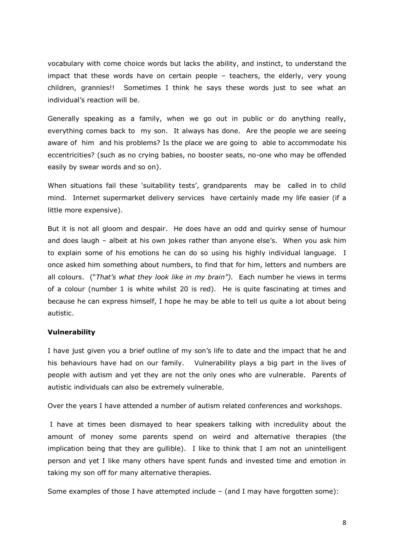vocabulary with come choice words but lacks the ability, and instinct, to understand the impact that these words have on certain people – teachers, the elderly, very young children, grannies!! Sometimes I think he says these words just to see what an individual's reaction will be.

Generally speaking as a family, when we go out in public or do anything really, everything comes back to my son. It always has done. Are the people we are seeing aware of him and his problems? Is the place we are going to able to accommodate his eccentricities? (such as no crying babies, no booster seats, no-one who may be offended easily by swear words and so on).

When situations fail these 'suitability tests', grandparents may be called in to child mind. Internet supermarket delivery services have certainly made my life easier (if a little more expensive).

But it is not all gloom and despair. He does have an odd and quirky sense of humour and does laugh – albeit at his own jokes rather than anyone else's. When you ask him to explain some of his emotions he can do so using his highly individual language. I once asked him something about numbers, to find that for him, letters and numbers are all colours. ("*That's what they look like in my brain").* Each number he views in terms of a colour (number 1 is white whilst 20 is red). He is quite fascinating at times and because he can express himself, I hope he may be able to tell us quite a lot about being autistic.

## **Vulnerability**

I have just given you a brief outline of my son's life to date and the impact that he and his behaviours have had on our family. Vulnerability plays a big part in the lives of people with autism and yet they are not the only ones who are vulnerable. Parents of autistic individuals can also be extremely vulnerable.

Over the years I have attended a number of autism related conferences and workshops.

I have at times been dismayed to hear speakers talking with incredulity about the amount of money some parents spend on weird and alternative therapies (the implication being that they are gullible). I like to think that I am not an unintelligent person and yet I like many others have spent funds and invested time and emotion in taking my son off for many alternative therapies.

Some examples of those I have attempted include – (and I may have forgotten some):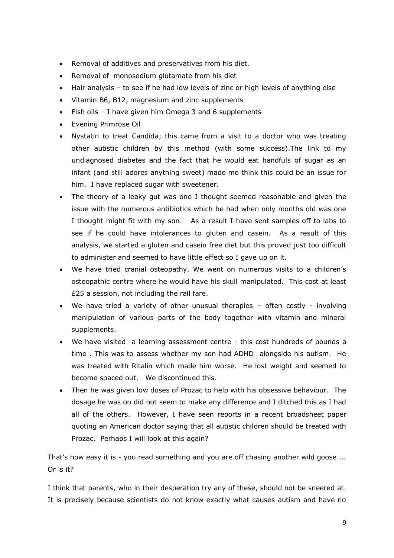- Removal of additives and preservatives from his diet.
- Removal of monosodium glutamate from his diet
- Hair analysis to see if he had low levels of zinc or high levels of anything else
- Vitamin B6, B12, magnesium and zinc supplements
- Fish oils I have given him Omega 3 and 6 supplements
- Evening Primrose Oil
- Nystatin to treat Candida; this came from a visit to a doctor who was treating other autistic children by this method (with some success).The link to my undiagnosed diabetes and the fact that he would eat handfuls of sugar as an infant (and still adores anything sweet) made me think this could be an issue for him. I have replaced sugar with sweetener.
- The theory of a leaky gut was one I thought seemed reasonable and given the issue with the numerous antibiotics which he had when only months old was one I thought might fit with my son. As a result I have sent samples off to labs to see if he could have intolerances to gluten and casein. As a result of this analysis, we started a gluten and casein free diet but this proved just too difficult to administer and seemed to have little effect so I gave up on it.
- We have tried cranial osteopathy. We went on numerous visits to a children's osteopathic centre where he would have his skull manipulated. This cost at least £25 a session, not including the rail fare.
- We have tried a variety of other unusual therapies often costly involving manipulation of various parts of the body together with vitamin and mineral supplements.
- We have visited a learning assessment centre this cost hundreds of pounds a time . This was to assess whether my son had ADHD alongside his autism. He was treated with Ritalin which made him worse. He lost weight and seemed to become spaced out. We discontinued this.
- Then he was given low doses of Prozac to help with his obsessive behaviour. The dosage he was on did not seem to make any difference and I ditched this as I had all of the others. However, I have seen reports in a recent broadsheet paper quoting an American doctor saying that all autistic children should be treated with Prozac. Perhaps I will look at this again?

That's how easy it is - you read something and you are off chasing another wild goose ... Or is it?

I think that parents, who in their desperation try any of these, should not be sneered at. It is precisely because scientists do not know exactly what causes autism and have no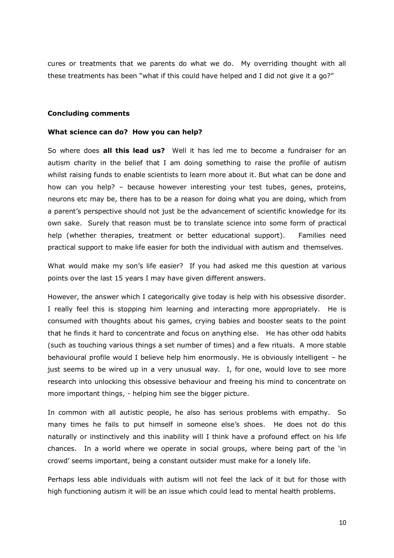cures or treatments that we parents do what we do. My overriding thought with all these treatments has been "what if this could have helped and I did not give it a go?"

### **Concluding comments**

#### **What science can do? How you can help?**

So where does **all this lead us?** Well it has led me to become a fundraiser for an autism charity in the belief that I am doing something to raise the profile of autism whilst raising funds to enable scientists to learn more about it. But what can be done and how can you help? – because however interesting your test tubes, genes, proteins, neurons etc may be, there has to be a reason for doing what you are doing, which from a parent's perspective should not just be the advancement of scientific knowledge for its own sake. Surely that reason must be to translate science into some form of practical help (whether therapies, treatment or better educational support). Families need practical support to make life easier for both the individual with autism and themselves.

What would make my son's life easier? If you had asked me this question at various points over the last 15 years I may have given different answers.

However, the answer which I categorically give today is help with his obsessive disorder. I really feel this is stopping him learning and interacting more appropriately. He is consumed with thoughts about his games, crying babies and booster seats to the point that he finds it hard to concentrate and focus on anything else. He has other odd habits (such as touching various things a set number of times) and a few rituals. A more stable behavioural profile would I believe help him enormously. He is obviously intelligent – he just seems to be wired up in a very unusual way. I, for one, would love to see more research into unlocking this obsessive behaviour and freeing his mind to concentrate on more important things, - helping him see the bigger picture.

In common with all autistic people, he also has serious problems with empathy. So many times he fails to put himself in someone else's shoes. He does not do this naturally or instinctively and this inability will I think have a profound effect on his life chances. In a world where we operate in social groups, where being part of the 'in crowd' seems important, being a constant outsider must make for a lonely life.

Perhaps less able individuals with autism will not feel the lack of it but for those with high functioning autism it will be an issue which could lead to mental health problems.